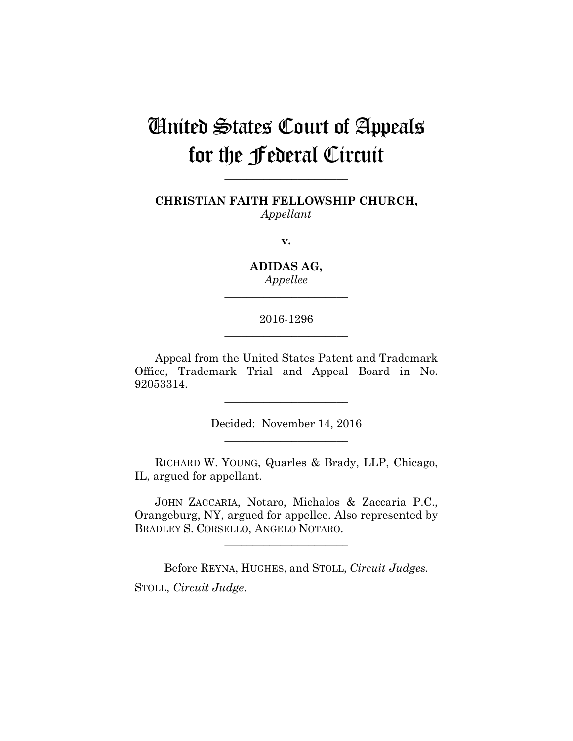# United States Court of Appeals for the Federal Circuit

**CHRISTIAN FAITH FELLOWSHIP CHURCH,** *Appellant*

**\_\_\_\_\_\_\_\_\_\_\_\_\_\_\_\_\_\_\_\_\_\_** 

**v.**

**ADIDAS AG,** *Appellee*

**\_\_\_\_\_\_\_\_\_\_\_\_\_\_\_\_\_\_\_\_\_\_** 

# 2016-1296 **\_\_\_\_\_\_\_\_\_\_\_\_\_\_\_\_\_\_\_\_\_\_**

Appeal from the United States Patent and Trademark Office, Trademark Trial and Appeal Board in No. 92053314.

> Decided: November 14, 2016 **\_\_\_\_\_\_\_\_\_\_\_\_\_\_\_\_\_\_\_\_\_\_**

**\_\_\_\_\_\_\_\_\_\_\_\_\_\_\_\_\_\_\_\_\_\_** 

RICHARD W. YOUNG, Quarles & Brady, LLP, Chicago, IL, argued for appellant.

JOHN ZACCARIA, Notaro, Michalos & Zaccaria P.C., Orangeburg, NY, argued for appellee. Also represented by BRADLEY S. CORSELLO, ANGELO NOTARO.

**\_\_\_\_\_\_\_\_\_\_\_\_\_\_\_\_\_\_\_\_\_\_** 

Before REYNA, HUGHES, and STOLL, *Circuit Judges.* STOLL, *Circuit Judge*.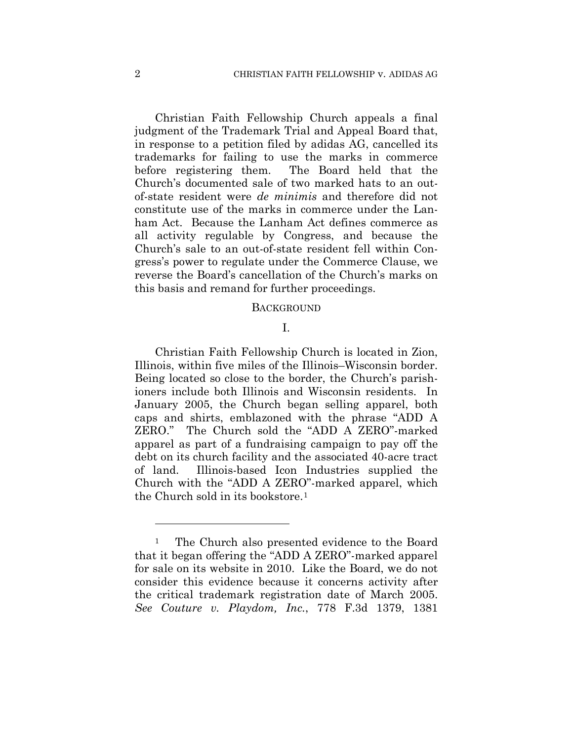Christian Faith Fellowship Church appeals a final judgment of the Trademark Trial and Appeal Board that, in response to a petition filed by adidas AG, cancelled its trademarks for failing to use the marks in commerce before registering them. The Board held that the Church's documented sale of two marked hats to an outof-state resident were *de minimis* and therefore did not constitute use of the marks in commerce under the Lanham Act. Because the Lanham Act defines commerce as all activity regulable by Congress, and because the Church's sale to an out-of-state resident fell within Congress's power to regulate under the Commerce Clause, we reverse the Board's cancellation of the Church's marks on this basis and remand for further proceedings.

#### **BACKGROUND**

### I.

Christian Faith Fellowship Church is located in Zion, Illinois, within five miles of the Illinois–Wisconsin border. Being located so close to the border, the Church's parishioners include both Illinois and Wisconsin residents. In January 2005, the Church began selling apparel, both caps and shirts, emblazoned with the phrase "ADD A ZERO." The Church sold the "ADD A ZERO"-marked apparel as part of a fundraising campaign to pay off the debt on its church facility and the associated 40-acre tract of land. Illinois-based Icon Industries supplied the Church with the "ADD A ZERO"-marked apparel, which the Church sold in its bookstore.1

1

<sup>&</sup>lt;sup>1</sup> The Church also presented evidence to the Board that it began offering the "ADD A ZERO"-marked apparel for sale on its website in 2010. Like the Board, we do not consider this evidence because it concerns activity after the critical trademark registration date of March 2005. *See Couture v. Playdom, Inc.*, 778 F.3d 1379, 1381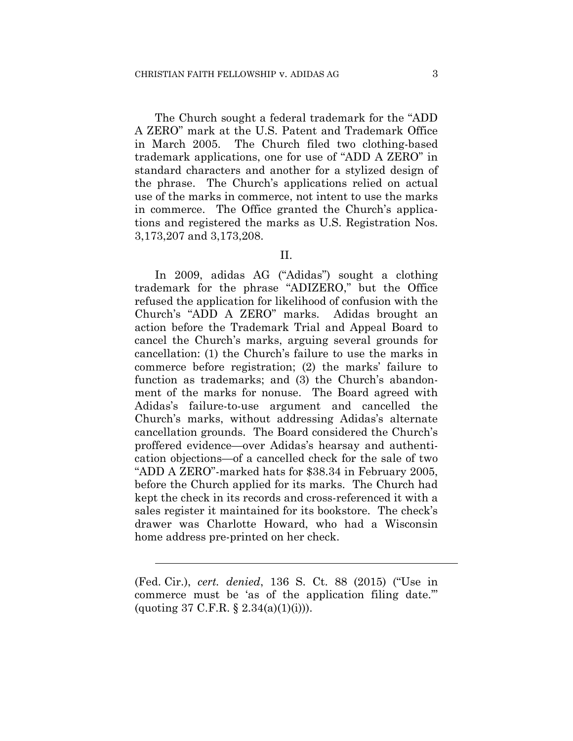The Church sought a federal trademark for the "ADD A ZERO" mark at the U.S. Patent and Trademark Office in March 2005. The Church filed two clothing-based trademark applications, one for use of "ADD A ZERO" in standard characters and another for a stylized design of the phrase. The Church's applications relied on actual use of the marks in commerce, not intent to use the marks in commerce. The Office granted the Church's applications and registered the marks as U.S. Registration Nos. 3,173,207 and 3,173,208.

### II.

In 2009, adidas AG ("Adidas") sought a clothing trademark for the phrase "ADIZERO," but the Office refused the application for likelihood of confusion with the Church's "ADD A ZERO" marks. Adidas brought an action before the Trademark Trial and Appeal Board to cancel the Church's marks, arguing several grounds for cancellation: (1) the Church's failure to use the marks in commerce before registration; (2) the marks' failure to function as trademarks; and (3) the Church's abandonment of the marks for nonuse. The Board agreed with Adidas's failure-to-use argument and cancelled the Church's marks, without addressing Adidas's alternate cancellation grounds. The Board considered the Church's proffered evidence—over Adidas's hearsay and authentication objections—of a cancelled check for the sale of two "ADD A ZERO"-marked hats for \$38.34 in February 2005, before the Church applied for its marks. The Church had kept the check in its records and cross-referenced it with a sales register it maintained for its bookstore. The check's drawer was Charlotte Howard, who had a Wisconsin home address pre-printed on her check.

l

<sup>(</sup>Fed. Cir.), *cert. denied*, 136 S. Ct. 88 (2015) ("Use in commerce must be 'as of the application filing date.'" (quoting 37 C.F.R.  $\S 2.34(a)(1)(i))$ ).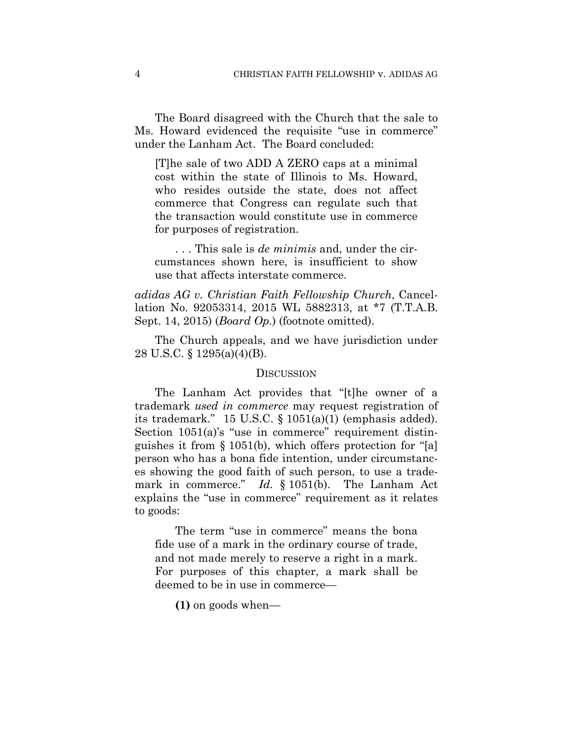The Board disagreed with the Church that the sale to Ms. Howard evidenced the requisite "use in commerce" under the Lanham Act. The Board concluded:

[T]he sale of two ADD A ZERO caps at a minimal cost within the state of Illinois to Ms. Howard, who resides outside the state, does not affect commerce that Congress can regulate such that the transaction would constitute use in commerce for purposes of registration.

. . . This sale is *de minimis* and, under the circumstances shown here, is insufficient to show use that affects interstate commerce.

*adidas AG v. Christian Faith Fellowship Church*, Cancellation No. 92053314, 2015 WL 5882313, at \*7 (T.T.A.B. Sept. 14, 2015) (*Board Op.*) (footnote omitted).

The Church appeals, and we have jurisdiction under 28 U.S.C. § 1295(a)(4)(B).

#### **DISCUSSION**

The Lanham Act provides that "[t]he owner of a trademark *used in commerce* may request registration of its trademark." 15 U.S.C. § 1051(a)(1) (emphasis added). Section  $1051(a)$ 's "use in commerce" requirement distinguishes it from § 1051(b), which offers protection for "[a] person who has a bona fide intention, under circumstances showing the good faith of such person, to use a trademark in commerce." *Id.* § 1051(b). The Lanham Act explains the "use in commerce" requirement as it relates to goods:

The term "use in commerce" means the bona fide use of a mark in the ordinary course of trade, and not made merely to reserve a right in a mark. For purposes of this chapter, a mark shall be deemed to be in use in commerce—

**(1)** on goods when—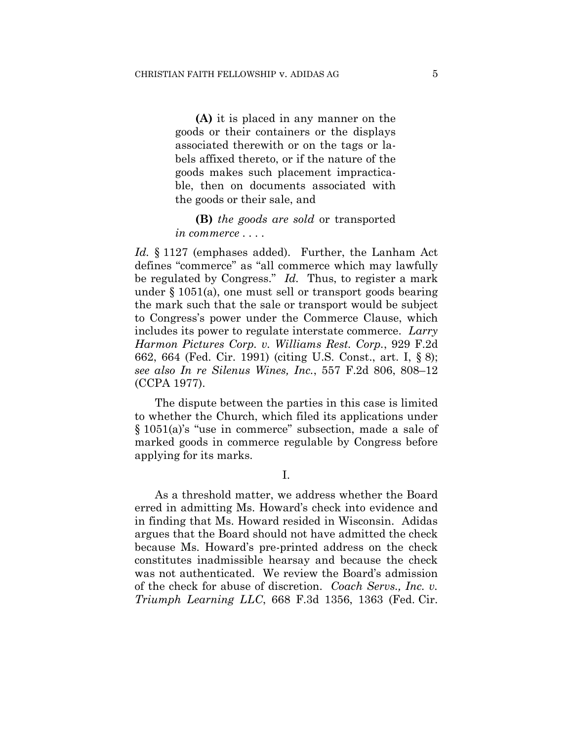**(A)** it is placed in any manner on the goods or their containers or the displays associated therewith or on the tags or labels affixed thereto, or if the nature of the goods makes such placement impracticable, then on documents associated with the goods or their sale, and

**(B)** *the goods are sold* or transported *in commerce* . . . .

*Id.* § 1127 (emphases added). Further, the Lanham Act defines "commerce" as "all commerce which may lawfully be regulated by Congress." *Id.* Thus, to register a mark under § 1051(a), one must sell or transport goods bearing the mark such that the sale or transport would be subject to Congress's power under the Commerce Clause, which includes its power to regulate interstate commerce. *Larry Harmon Pictures Corp. v. Williams Rest. Corp.*, 929 F.2d 662, 664 (Fed. Cir. 1991) (citing U.S. Const., art. I, § 8); *see also In re Silenus Wines, Inc.*, 557 F.2d 806, 808–12 (CCPA 1977).

The dispute between the parties in this case is limited to whether the Church, which filed its applications under § 1051(a)'s "use in commerce" subsection, made a sale of marked goods in commerce regulable by Congress before applying for its marks.

I.

As a threshold matter, we address whether the Board erred in admitting Ms. Howard's check into evidence and in finding that Ms. Howard resided in Wisconsin. Adidas argues that the Board should not have admitted the check because Ms. Howard's pre-printed address on the check constitutes inadmissible hearsay and because the check was not authenticated. We review the Board's admission of the check for abuse of discretion. *Coach Servs., Inc. v. Triumph Learning LLC*, 668 F.3d 1356, 1363 (Fed. Cir.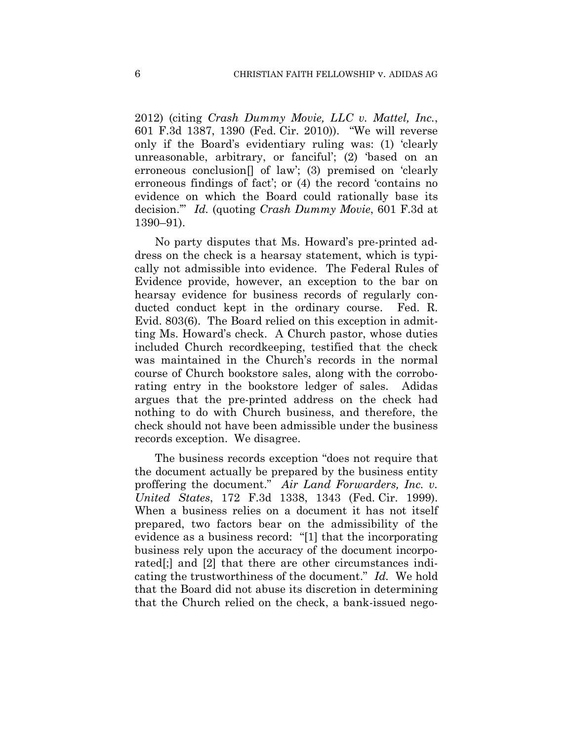2012) (citing *Crash Dummy Movie, LLC v. Mattel, Inc.*, 601 F.3d 1387, 1390 (Fed. Cir. 2010)). "We will reverse only if the Board's evidentiary ruling was: (1) 'clearly unreasonable, arbitrary, or fanciful'; (2) 'based on an erroneous conclusion[] of law'; (3) premised on 'clearly erroneous findings of fact'; or (4) the record 'contains no evidence on which the Board could rationally base its decision.'" *Id.* (quoting *Crash Dummy Movie*, 601 F.3d at 1390–91).

No party disputes that Ms. Howard's pre-printed address on the check is a hearsay statement, which is typically not admissible into evidence. The Federal Rules of Evidence provide, however, an exception to the bar on hearsay evidence for business records of regularly conducted conduct kept in the ordinary course. Fed. R. Evid. 803(6). The Board relied on this exception in admitting Ms. Howard's check. A Church pastor, whose duties included Church recordkeeping, testified that the check was maintained in the Church's records in the normal course of Church bookstore sales, along with the corroborating entry in the bookstore ledger of sales. Adidas argues that the pre-printed address on the check had nothing to do with Church business, and therefore, the check should not have been admissible under the business records exception. We disagree.

The business records exception "does not require that the document actually be prepared by the business entity proffering the document." *Air Land Forwarders, Inc. v. United States*, 172 F.3d 1338, 1343 (Fed. Cir. 1999). When a business relies on a document it has not itself prepared, two factors bear on the admissibility of the evidence as a business record: "[1] that the incorporating business rely upon the accuracy of the document incorporated[;] and [2] that there are other circumstances indicating the trustworthiness of the document." *Id.* We hold that the Board did not abuse its discretion in determining that the Church relied on the check, a bank-issued nego-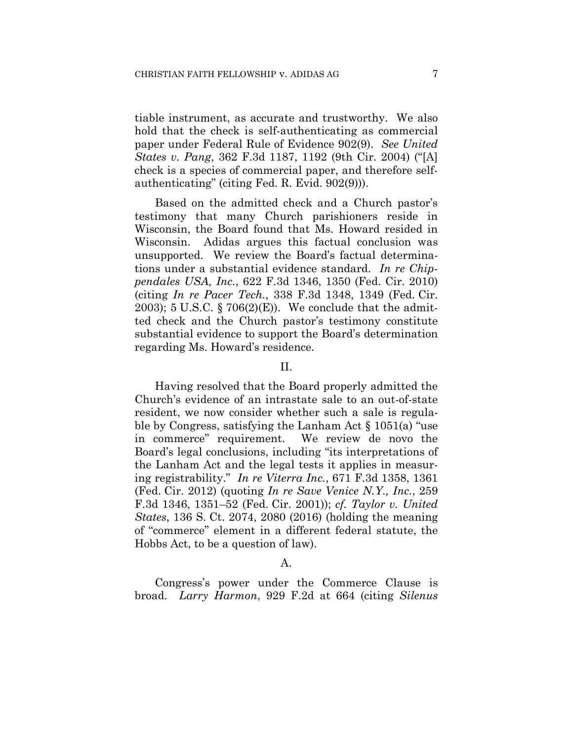tiable instrument, as accurate and trustworthy. We also hold that the check is self-authenticating as commercial paper under Federal Rule of Evidence 902(9). *See United States v. Pang*, 362 F.3d 1187, 1192 (9th Cir. 2004) ("[A] check is a species of commercial paper, and therefore selfauthenticating" (citing Fed. R. Evid. 902(9))).

Based on the admitted check and a Church pastor's testimony that many Church parishioners reside in Wisconsin, the Board found that Ms. Howard resided in Wisconsin. Adidas argues this factual conclusion was unsupported. We review the Board's factual determinations under a substantial evidence standard. *In re Chippendales USA, Inc.*, 622 F.3d 1346, 1350 (Fed. Cir. 2010) (citing *In re Pacer Tech.*, 338 F.3d 1348, 1349 (Fed. Cir. 2003); 5 U.S.C. § 706(2)(E)). We conclude that the admitted check and the Church pastor's testimony constitute substantial evidence to support the Board's determination regarding Ms. Howard's residence.

## II.

Having resolved that the Board properly admitted the Church's evidence of an intrastate sale to an out-of-state resident, we now consider whether such a sale is regulable by Congress, satisfying the Lanham Act § 1051(a) "use in commerce" requirement. We review de novo the Board's legal conclusions, including "its interpretations of the Lanham Act and the legal tests it applies in measuring registrability." *In re Viterra Inc.*, 671 F.3d 1358, 1361 (Fed. Cir. 2012) (quoting *In re Save Venice N.Y., Inc.*, 259 F.3d 1346, 1351–52 (Fed. Cir. 2001)); *cf. Taylor v. United States*, 136 S. Ct. 2074, 2080 (2016) (holding the meaning of "commerce" element in a different federal statute, the Hobbs Act, to be a question of law).

#### A.

Congress's power under the Commerce Clause is broad. *Larry Harmon*, 929 F.2d at 664 (citing *Silenus*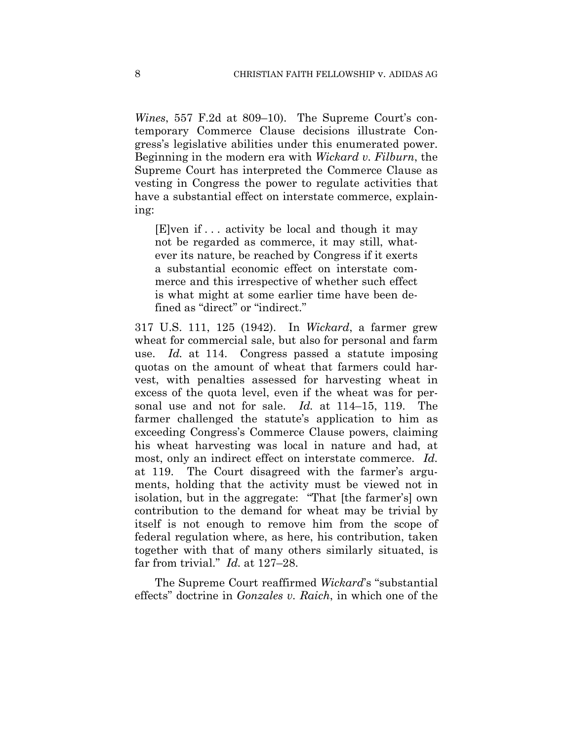*Wines*, 557 F.2d at 809–10). The Supreme Court's contemporary Commerce Clause decisions illustrate Congress's legislative abilities under this enumerated power. Beginning in the modern era with *Wickard v. Filburn*, the Supreme Court has interpreted the Commerce Clause as vesting in Congress the power to regulate activities that have a substantial effect on interstate commerce, explaining:

[E]ven if . . . activity be local and though it may not be regarded as commerce, it may still, whatever its nature, be reached by Congress if it exerts a substantial economic effect on interstate commerce and this irrespective of whether such effect is what might at some earlier time have been defined as "direct" or "indirect."

317 U.S. 111, 125 (1942). In *Wickard*, a farmer grew wheat for commercial sale, but also for personal and farm use. *Id.* at 114. Congress passed a statute imposing quotas on the amount of wheat that farmers could harvest, with penalties assessed for harvesting wheat in excess of the quota level, even if the wheat was for personal use and not for sale. *Id.* at 114–15, 119. The farmer challenged the statute's application to him as exceeding Congress's Commerce Clause powers, claiming his wheat harvesting was local in nature and had, at most, only an indirect effect on interstate commerce. *Id.*  at 119. The Court disagreed with the farmer's arguments, holding that the activity must be viewed not in isolation, but in the aggregate: "That [the farmer's] own contribution to the demand for wheat may be trivial by itself is not enough to remove him from the scope of federal regulation where, as here, his contribution, taken together with that of many others similarly situated, is far from trivial." *Id.* at 127–28.

The Supreme Court reaffirmed *Wickard*'s "substantial effects" doctrine in *Gonzales v. Raich*, in which one of the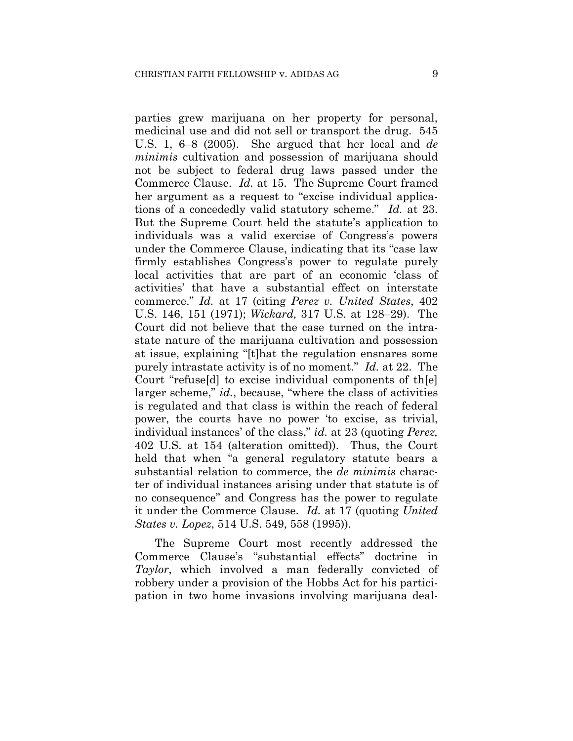parties grew marijuana on her property for personal, medicinal use and did not sell or transport the drug. 545 U.S. 1, 6–8 (2005). She argued that her local and *de minimis* cultivation and possession of marijuana should not be subject to federal drug laws passed under the Commerce Clause. *Id.* at 15. The Supreme Court framed her argument as a request to "excise individual applications of a concededly valid statutory scheme." *Id.* at 23. But the Supreme Court held the statute's application to individuals was a valid exercise of Congress's powers under the Commerce Clause, indicating that its "case law firmly establishes Congress's power to regulate purely local activities that are part of an economic 'class of activities' that have a substantial effect on interstate commerce." *Id.* at 17 (citing *Perez v. United States*, 402 U.S. 146, 151 (1971); *Wickard,* 317 U.S. at 128–29). The Court did not believe that the case turned on the intrastate nature of the marijuana cultivation and possession at issue, explaining "[t]hat the regulation ensnares some purely intrastate activity is of no moment." *Id.* at 22. The Court "refuse[d] to excise individual components of th[e] larger scheme," *id.*, because, "where the class of activities is regulated and that class is within the reach of federal power, the courts have no power 'to excise, as trivial, individual instances' of the class," *id.* at 23 (quoting *Perez,*  402 U.S. at 154 (alteration omitted)). Thus, the Court held that when "a general regulatory statute bears a substantial relation to commerce, the *de minimis* character of individual instances arising under that statute is of no consequence" and Congress has the power to regulate it under the Commerce Clause. *Id.* at 17 (quoting *United States v. Lopez*, 514 U.S. 549, 558 (1995)).

The Supreme Court most recently addressed the Commerce Clause's "substantial effects" doctrine in *Taylor*, which involved a man federally convicted of robbery under a provision of the Hobbs Act for his participation in two home invasions involving marijuana deal-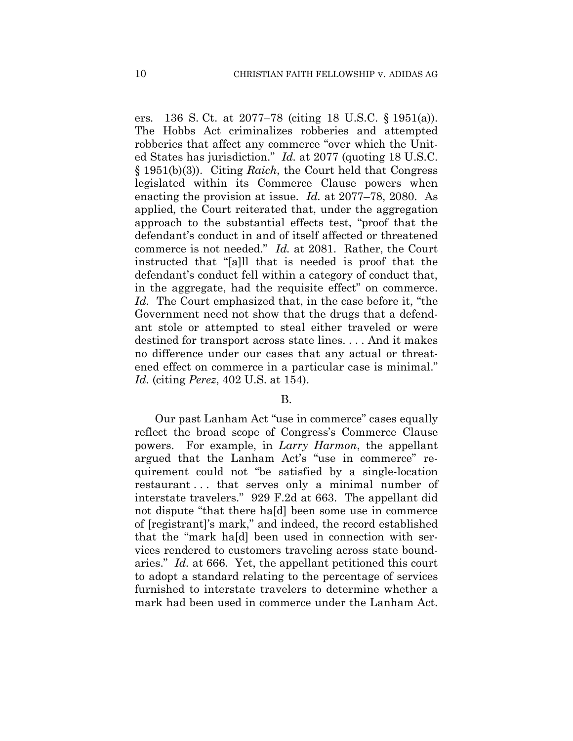ers*.* 136 S. Ct. at 2077–78 (citing 18 U.S.C. § 1951(a)). The Hobbs Act criminalizes robberies and attempted robberies that affect any commerce "over which the United States has jurisdiction." *Id.* at 2077 (quoting 18 U.S.C. § 1951(b)(3)). Citing *Raich*, the Court held that Congress legislated within its Commerce Clause powers when enacting the provision at issue. *Id.* at 2077–78, 2080. As applied, the Court reiterated that, under the aggregation approach to the substantial effects test, "proof that the defendant's conduct in and of itself affected or threatened commerce is not needed." *Id.* at 2081. Rather, the Court instructed that "[a]ll that is needed is proof that the defendant's conduct fell within a category of conduct that, in the aggregate, had the requisite effect" on commerce. *Id.* The Court emphasized that, in the case before it, "the Government need not show that the drugs that a defendant stole or attempted to steal either traveled or were destined for transport across state lines. . . . And it makes no difference under our cases that any actual or threatened effect on commerce in a particular case is minimal." *Id.* (citing *Perez*, 402 U.S. at 154).

#### B.

Our past Lanham Act "use in commerce" cases equally reflect the broad scope of Congress's Commerce Clause powers. For example, in *Larry Harmon*, the appellant argued that the Lanham Act's "use in commerce" requirement could not "be satisfied by a single-location restaurant . . . that serves only a minimal number of interstate travelers." 929 F.2d at 663. The appellant did not dispute "that there ha[d] been some use in commerce of [registrant]'s mark," and indeed, the record established that the "mark ha[d] been used in connection with services rendered to customers traveling across state boundaries." *Id.* at 666. Yet, the appellant petitioned this court to adopt a standard relating to the percentage of services furnished to interstate travelers to determine whether a mark had been used in commerce under the Lanham Act.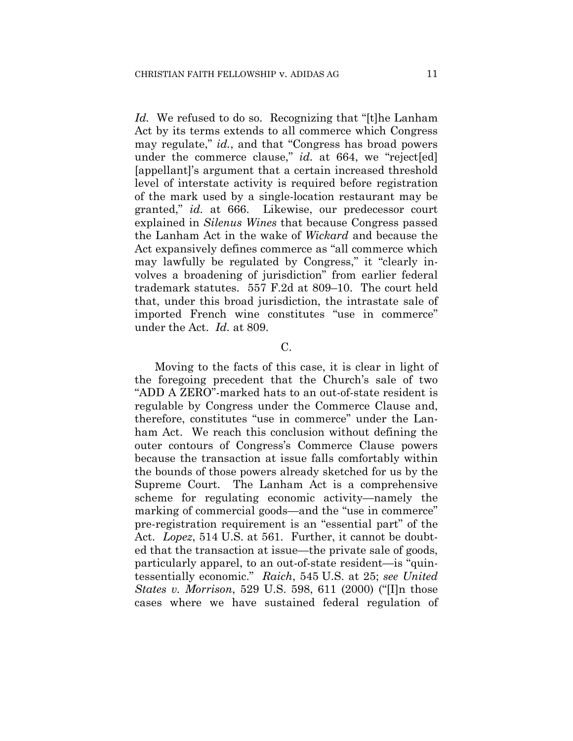*Id.* We refused to do so. Recognizing that "[t]he Lanham Act by its terms extends to all commerce which Congress may regulate," *id.*, and that "Congress has broad powers under the commerce clause," *id.* at 664, we "reject[ed] [appellant]'s argument that a certain increased threshold level of interstate activity is required before registration of the mark used by a single-location restaurant may be granted," *id.* at 666. Likewise, our predecessor court explained in *Silenus Wines* that because Congress passed the Lanham Act in the wake of *Wickard* and because the Act expansively defines commerce as "all commerce which may lawfully be regulated by Congress," it "clearly involves a broadening of jurisdiction" from earlier federal trademark statutes. 557 F.2d at 809–10. The court held that, under this broad jurisdiction, the intrastate sale of imported French wine constitutes "use in commerce" under the Act. *Id.* at 809.

# C.

Moving to the facts of this case, it is clear in light of the foregoing precedent that the Church's sale of two "ADD A ZERO"-marked hats to an out-of-state resident is regulable by Congress under the Commerce Clause and, therefore, constitutes "use in commerce" under the Lanham Act. We reach this conclusion without defining the outer contours of Congress's Commerce Clause powers because the transaction at issue falls comfortably within the bounds of those powers already sketched for us by the Supreme Court. The Lanham Act is a comprehensive scheme for regulating economic activity—namely the marking of commercial goods—and the "use in commerce" pre-registration requirement is an "essential part" of the Act. *Lopez*, 514 U.S. at 561. Further, it cannot be doubted that the transaction at issue—the private sale of goods, particularly apparel, to an out-of-state resident—is "quintessentially economic." *Raich*, 545 U.S. at 25; *see United States v. Morrison*, 529 U.S. 598, 611 (2000) ("[I]n those cases where we have sustained federal regulation of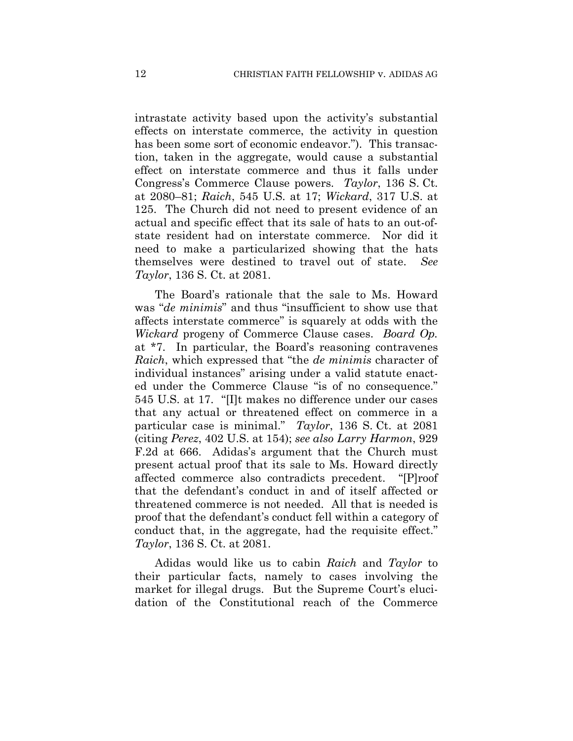intrastate activity based upon the activity's substantial effects on interstate commerce, the activity in question has been some sort of economic endeavor."). This transaction, taken in the aggregate, would cause a substantial effect on interstate commerce and thus it falls under Congress's Commerce Clause powers. *Taylor*, 136 S. Ct. at 2080–81; *Raich*, 545 U.S. at 17; *Wickard*, 317 U.S. at 125. The Church did not need to present evidence of an actual and specific effect that its sale of hats to an out-ofstate resident had on interstate commerce. Nor did it need to make a particularized showing that the hats themselves were destined to travel out of state. *See Taylor*, 136 S. Ct. at 2081.

The Board's rationale that the sale to Ms. Howard was "*de minimis*" and thus "insufficient to show use that affects interstate commerce" is squarely at odds with the *Wickard* progeny of Commerce Clause cases. *Board Op.*  at \*7.In particular, the Board's reasoning contravenes *Raich*, which expressed that "the *de minimis* character of individual instances" arising under a valid statute enacted under the Commerce Clause "is of no consequence." 545 U.S. at 17. "[I]t makes no difference under our cases that any actual or threatened effect on commerce in a particular case is minimal." *Taylor*, 136 S. Ct. at 2081 (citing *Perez*, 402 U.S. at 154); *see also Larry Harmon*, 929 F.2d at 666. Adidas's argument that the Church must present actual proof that its sale to Ms. Howard directly affected commerce also contradicts precedent. "[P]roof that the defendant's conduct in and of itself affected or threatened commerce is not needed. All that is needed is proof that the defendant's conduct fell within a category of conduct that, in the aggregate, had the requisite effect." *Taylor*, 136 S. Ct. at 2081.

Adidas would like us to cabin *Raich* and *Taylor* to their particular facts, namely to cases involving the market for illegal drugs. But the Supreme Court's elucidation of the Constitutional reach of the Commerce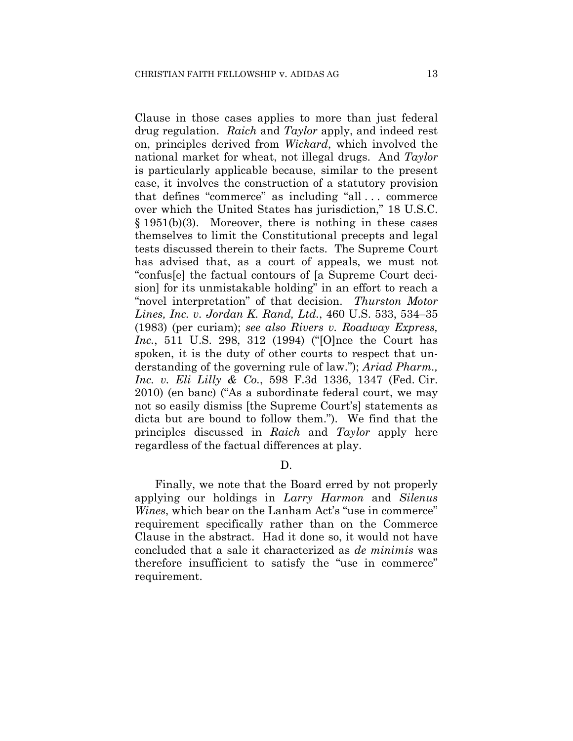Clause in those cases applies to more than just federal drug regulation. *Raich* and *Taylor* apply, and indeed rest on, principles derived from *Wickard*, which involved the national market for wheat, not illegal drugs. And *Taylor* is particularly applicable because, similar to the present case, it involves the construction of a statutory provision that defines "commerce" as including "all . . . commerce over which the United States has jurisdiction," 18 U.S.C. § 1951(b)(3). Moreover, there is nothing in these cases themselves to limit the Constitutional precepts and legal tests discussed therein to their facts. The Supreme Court has advised that, as a court of appeals, we must not "confus[e] the factual contours of [a Supreme Court decision] for its unmistakable holding" in an effort to reach a "novel interpretation" of that decision. *Thurston Motor Lines, Inc. v. Jordan K. Rand, Ltd.*, 460 U.S. 533, 534–35 (1983) (per curiam); *see also Rivers v. Roadway Express, Inc.*, 511 U.S. 298, 312 (1994) ("[O]nce the Court has spoken, it is the duty of other courts to respect that understanding of the governing rule of law."); *Ariad Pharm., Inc. v. Eli Lilly & Co.*, 598 F.3d 1336, 1347 (Fed. Cir. 2010) (en banc) ("As a subordinate federal court, we may not so easily dismiss [the Supreme Court's] statements as dicta but are bound to follow them."). We find that the principles discussed in *Raich* and *Taylor* apply here regardless of the factual differences at play.

D.

Finally, we note that the Board erred by not properly applying our holdings in *Larry Harmon* and *Silenus Wines*, which bear on the Lanham Act's "use in commerce" requirement specifically rather than on the Commerce Clause in the abstract. Had it done so, it would not have concluded that a sale it characterized as *de minimis* was therefore insufficient to satisfy the "use in commerce" requirement.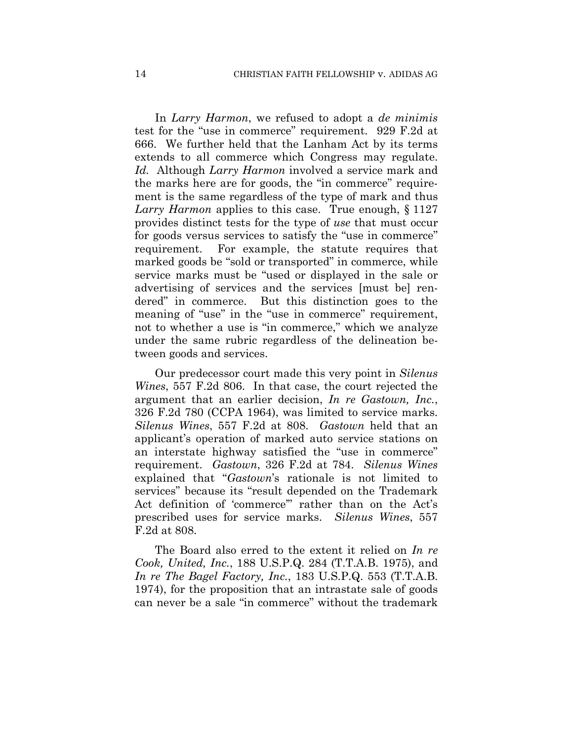In *Larry Harmon*, we refused to adopt a *de minimis* test for the "use in commerce" requirement. 929 F.2d at 666. We further held that the Lanham Act by its terms extends to all commerce which Congress may regulate. *Id.* Although *Larry Harmon* involved a service mark and the marks here are for goods, the "in commerce" requirement is the same regardless of the type of mark and thus *Larry Harmon* applies to this case. True enough, § 1127 provides distinct tests for the type of *use* that must occur for goods versus services to satisfy the "use in commerce" requirement. For example, the statute requires that marked goods be "sold or transported" in commerce, while service marks must be "used or displayed in the sale or advertising of services and the services [must be] rendered" in commerce. But this distinction goes to the meaning of "use" in the "use in commerce" requirement, not to whether a use is "in commerce," which we analyze under the same rubric regardless of the delineation between goods and services.

Our predecessor court made this very point in *Silenus Wines*, 557 F.2d 806. In that case, the court rejected the argument that an earlier decision, *In re Gastown, Inc.*, 326 F.2d 780 (CCPA 1964), was limited to service marks. *Silenus Wines*, 557 F.2d at 808. *Gastown* held that an applicant's operation of marked auto service stations on an interstate highway satisfied the "use in commerce" requirement. *Gastown*, 326 F.2d at 784. *Silenus Wines* explained that "*Gastown*'s rationale is not limited to services" because its "result depended on the Trademark Act definition of 'commerce'" rather than on the Act's prescribed uses for service marks. *Silenus Wines*, 557 F.2d at 808.

The Board also erred to the extent it relied on *In re Cook, United, Inc.*, 188 U.S.P.Q. 284 (T.T.A.B. 1975), and *In re The Bagel Factory, Inc.*, 183 U.S.P.Q. 553 (T.T.A.B. 1974), for the proposition that an intrastate sale of goods can never be a sale "in commerce" without the trademark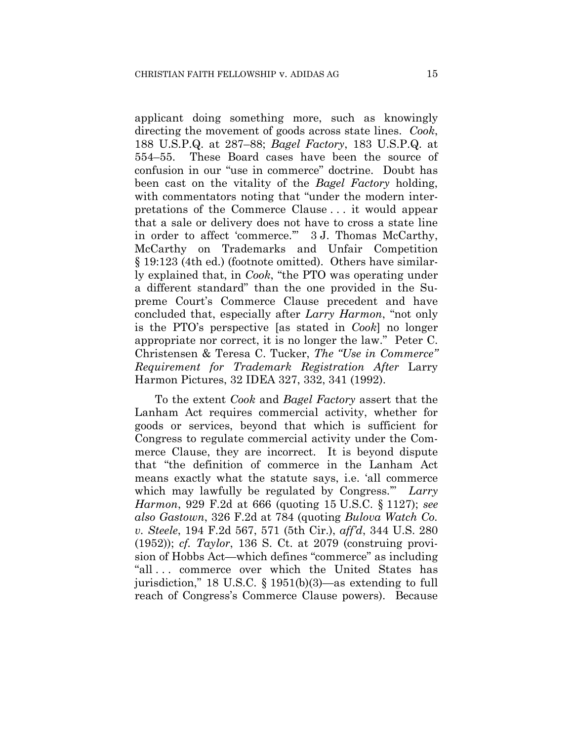applicant doing something more, such as knowingly directing the movement of goods across state lines. *Cook*, 188 U.S.P.Q. at 287–88; *Bagel Factory*, 183 U.S.P.Q. at 554–55. These Board cases have been the source of confusion in our "use in commerce" doctrine. Doubt has been cast on the vitality of the *Bagel Factory* holding, with commentators noting that "under the modern interpretations of the Commerce Clause . . . it would appear that a sale or delivery does not have to cross a state line in order to affect 'commerce.'" 3 J. Thomas McCarthy, McCarthy on Trademarks and Unfair Competition § 19:123 (4th ed.) (footnote omitted). Others have similarly explained that, in *Cook*, "the PTO was operating under a different standard" than the one provided in the Supreme Court's Commerce Clause precedent and have concluded that, especially after *Larry Harmon*, "not only is the PTO's perspective [as stated in *Cook*] no longer appropriate nor correct, it is no longer the law." Peter C. Christensen & Teresa C. Tucker, *The "Use in Commerce" Requirement for Trademark Registration After* Larry Harmon Pictures, 32 IDEA 327, 332, 341 (1992).

To the extent *Cook* and *Bagel Factory* assert that the Lanham Act requires commercial activity, whether for goods or services, beyond that which is sufficient for Congress to regulate commercial activity under the Commerce Clause, they are incorrect. It is beyond dispute that "the definition of commerce in the Lanham Act means exactly what the statute says, i.e. 'all commerce which may lawfully be regulated by Congress.'" *Larry Harmon*, 929 F.2d at 666 (quoting 15 U.S.C. § 1127); *see also Gastown*, 326 F.2d at 784 (quoting *Bulova Watch Co. v. Steele*, 194 F.2d 567, 571 (5th Cir.), *aff'd*, 344 U.S. 280 (1952)); *cf. Taylor*, 136 S. Ct. at 2079 (construing provision of Hobbs Act—which defines "commerce" as including "all . . . commerce over which the United States has jurisdiction," 18 U.S.C. § 1951(b)(3)—as extending to full reach of Congress's Commerce Clause powers). Because